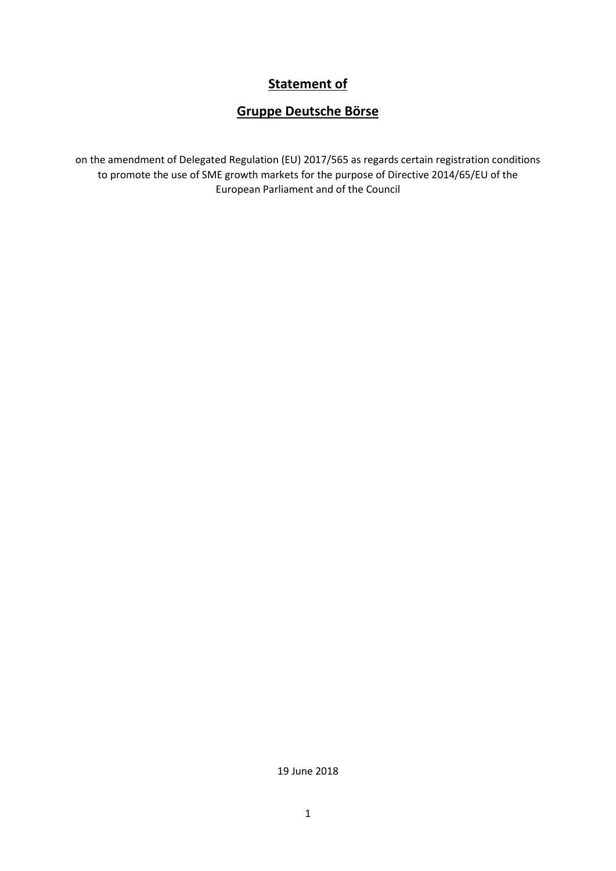## **Statement of**

# **Gruppe Deutsche Börse**

on the amendment of Delegated Regulation (EU) 2017/565 as regards certain registration conditions to promote the use of SME growth markets for the purpose of Directive 2014/65/EU of the European Parliament and of the Council

19 June 2018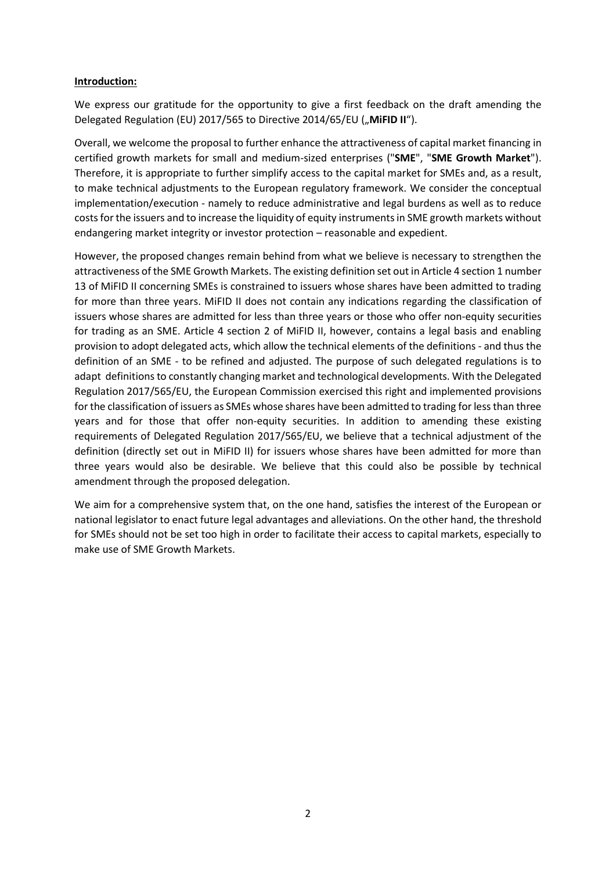#### **Introduction:**

We express our gratitude for the opportunity to give a first feedback on the draft amending the Delegated Regulation (EU) 2017/565 to Directive 2014/65/EU ("MiFID II").

Overall, we welcome the proposal to further enhance the attractiveness of capital market financing in certified growth markets for small and medium-sized enterprises ("**SME**", "**SME Growth Market**"). Therefore, it is appropriate to further simplify access to the capital market for SMEs and, as a result, to make technical adjustments to the European regulatory framework. We consider the conceptual implementation/execution - namely to reduce administrative and legal burdens as well as to reduce costs for the issuers and to increase the liquidity of equity instruments in SME growth markets without endangering market integrity or investor protection – reasonable and expedient.

However, the proposed changes remain behind from what we believe is necessary to strengthen the attractiveness of the SME Growth Markets. The existing definition set out in Article 4 section 1 number 13 of MiFID II concerning SMEs is constrained to issuers whose shares have been admitted to trading for more than three years. MiFID II does not contain any indications regarding the classification of issuers whose shares are admitted for less than three years or those who offer non-equity securities for trading as an SME. Article 4 section 2 of MiFID II, however, contains a legal basis and enabling provision to adopt delegated acts, which allow the technical elements of the definitions - and thus the definition of an SME - to be refined and adjusted. The purpose of such delegated regulations is to adapt definitionsto constantly changing market and technological developments. With the Delegated Regulation 2017/565/EU, the European Commission exercised this right and implemented provisions for the classification of issuers as SMEs whose shares have been admitted to trading for less than three years and for those that offer non-equity securities. In addition to amending these existing requirements of Delegated Regulation 2017/565/EU, we believe that a technical adjustment of the definition (directly set out in MiFID II) for issuers whose shares have been admitted for more than three years would also be desirable. We believe that this could also be possible by technical amendment through the proposed delegation.

We aim for a comprehensive system that, on the one hand, satisfies the interest of the European or national legislator to enact future legal advantages and alleviations. On the other hand, the threshold for SMEs should not be set too high in order to facilitate their access to capital markets, especially to make use of SME Growth Markets.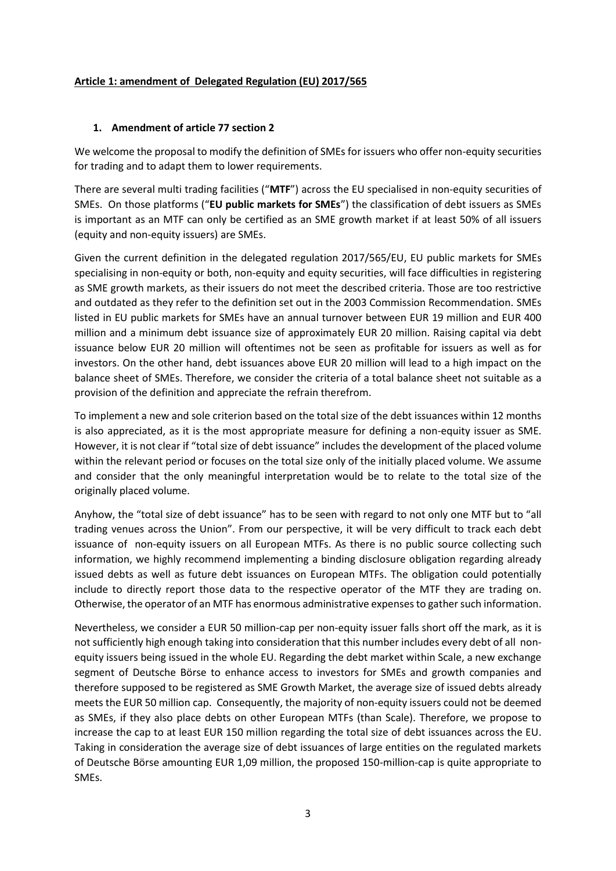#### **Article 1: amendment of Delegated Regulation (EU) 2017/565**

### **1. Amendment of article 77 section 2**

We welcome the proposal to modify the definition of SMEs for issuers who offer non-equity securities for trading and to adapt them to lower requirements.

There are several multi trading facilities ("**MTF**") across the EU specialised in non-equity securities of SMEs. On those platforms ("**EU public markets for SMEs**") the classification of debt issuers as SMEs is important as an MTF can only be certified as an SME growth market if at least 50% of all issuers (equity and non-equity issuers) are SMEs.

Given the current definition in the delegated regulation 2017/565/EU, EU public markets for SMEs specialising in non-equity or both, non-equity and equity securities, will face difficulties in registering as SME growth markets, as their issuers do not meet the described criteria. Those are too restrictive and outdated as they refer to the definition set out in the 2003 Commission Recommendation. SMEs listed in EU public markets for SMEs have an annual turnover between EUR 19 million and EUR 400 million and a minimum debt issuance size of approximately EUR 20 million. Raising capital via debt issuance below EUR 20 million will oftentimes not be seen as profitable for issuers as well as for investors. On the other hand, debt issuances above EUR 20 million will lead to a high impact on the balance sheet of SMEs. Therefore, we consider the criteria of a total balance sheet not suitable as a provision of the definition and appreciate the refrain therefrom.

To implement a new and sole criterion based on the total size of the debt issuances within 12 months is also appreciated, as it is the most appropriate measure for defining a non-equity issuer as SME. However, it is not clear if "total size of debt issuance" includes the development of the placed volume within the relevant period or focuses on the total size only of the initially placed volume. We assume and consider that the only meaningful interpretation would be to relate to the total size of the originally placed volume.

Anyhow, the "total size of debt issuance" has to be seen with regard to not only one MTF but to "all trading venues across the Union". From our perspective, it will be very difficult to track each debt issuance of non-equity issuers on all European MTFs. As there is no public source collecting such information, we highly recommend implementing a binding disclosure obligation regarding already issued debts as well as future debt issuances on European MTFs. The obligation could potentially include to directly report those data to the respective operator of the MTF they are trading on. Otherwise, the operator of an MTF has enormous administrative expensesto gather such information.

Nevertheless, we consider a EUR 50 million-cap per non-equity issuer falls short off the mark, as it is not sufficiently high enough taking into consideration that this number includes every debt of all nonequity issuers being issued in the whole EU. Regarding the debt market within Scale, a new exchange segment of Deutsche Börse to enhance access to investors for SMEs and growth companies and therefore supposed to be registered as SME Growth Market, the average size of issued debts already meets the EUR 50 million cap. Consequently, the majority of non-equity issuers could not be deemed as SMEs, if they also place debts on other European MTFs (than Scale). Therefore, we propose to increase the cap to at least EUR 150 million regarding the total size of debt issuances across the EU. Taking in consideration the average size of debt issuances of large entities on the regulated markets of Deutsche Börse amounting EUR 1,09 million, the proposed 150-million-cap is quite appropriate to SMEs.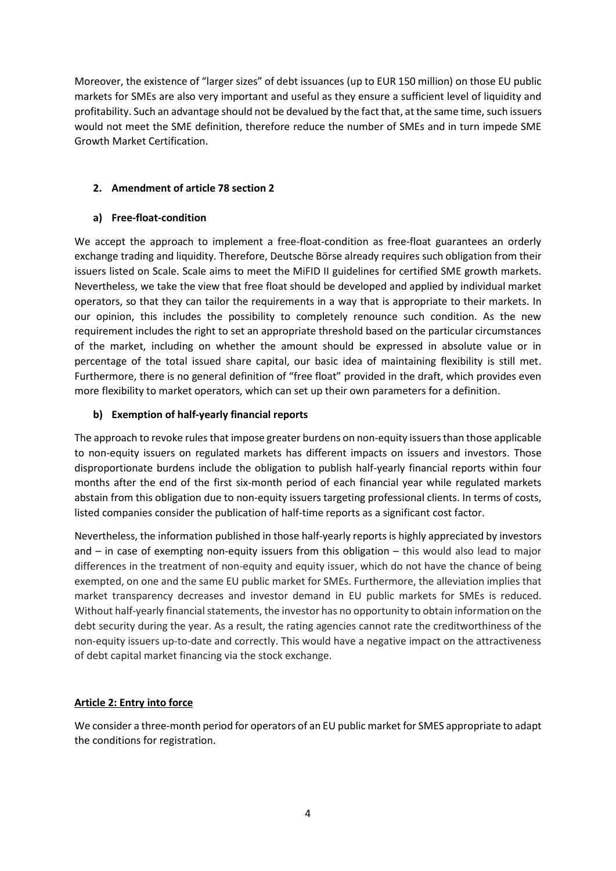Moreover, the existence of "larger sizes" of debt issuances (up to EUR 150 million) on those EU public markets for SMEs are also very important and useful as they ensure a sufficient level of liquidity and profitability. Such an advantage should not be devalued by the fact that, at the same time, such issuers would not meet the SME definition, therefore reduce the number of SMEs and in turn impede SME Growth Market Certification.

## **2. Amendment of article 78 section 2**

## **a) Free-float-condition**

We accept the approach to implement a free-float-condition as free-float guarantees an orderly exchange trading and liquidity. Therefore, Deutsche Börse already requires such obligation from their issuers listed on Scale. Scale aims to meet the MiFID II guidelines for certified SME growth markets. Nevertheless, we take the view that free float should be developed and applied by individual market operators, so that they can tailor the requirements in a way that is appropriate to their markets. In our opinion, this includes the possibility to completely renounce such condition. As the new requirement includes the right to set an appropriate threshold based on the particular circumstances of the market, including on whether the amount should be expressed in absolute value or in percentage of the total issued share capital, our basic idea of maintaining flexibility is still met. Furthermore, there is no general definition of "free float" provided in the draft, which provides even more flexibility to market operators, which can set up their own parameters for a definition.

## **b) Exemption of half-yearly financial reports**

The approach to revoke rules that impose greater burdens on non-equity issuers than those applicable to non-equity issuers on regulated markets has different impacts on issuers and investors. Those disproportionate burdens include the obligation to publish half-yearly financial reports within four months after the end of the first six-month period of each financial year while regulated markets abstain from this obligation due to non-equity issuers targeting professional clients. In terms of costs, listed companies consider the publication of half-time reports as a significant cost factor.

Nevertheless, the information published in those half-yearly reports is highly appreciated by investors and – in case of exempting non-equity issuers from this obligation – this would also lead to major differences in the treatment of non-equity and equity issuer, which do not have the chance of being exempted, on one and the same EU public market for SMEs. Furthermore, the alleviation implies that market transparency decreases and investor demand in EU public markets for SMEs is reduced. Without half-yearly financial statements, the investor has no opportunity to obtain information on the debt security during the year. As a result, the rating agencies cannot rate the creditworthiness of the non-equity issuers up-to-date and correctly. This would have a negative impact on the attractiveness of debt capital market financing via the stock exchange.

## **Article 2: Entry into force**

We consider a three-month period for operators of an EU public market for SMES appropriate to adapt the conditions for registration.